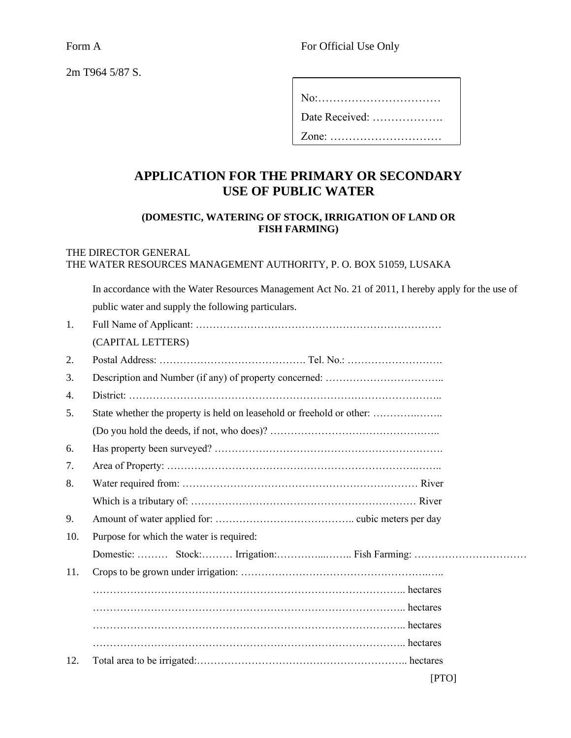Form A Form A Form A Form A Form A Form A Form A Form A Form A Form A Form A Form A Form A Form A Form A Form A Form A Form A Form A Form A Form A Form A Form A Form A Form A Form A Form A Form A Form A Form A Form A Form

| 2m T964 5/87 S. |  |
|-----------------|--|
|-----------------|--|

| No:            |
|----------------|
| Date Received: |
| $Zone:$        |

## **APPLICATION FOR THE PRIMARY OR SECONDARY USE OF PUBLIC WATER**

## **(DOMESTIC, WATERING OF STOCK, IRRIGATION OF LAND OR FISH FARMING)**

## THE DIRECTOR GENERAL THE WATER RESOURCES MANAGEMENT AUTHORITY, P. O. BOX 51059, LUSAKA

| In accordance with the Water Resources Management Act No. 21 of 2011, I hereby apply for the use of |
|-----------------------------------------------------------------------------------------------------|
| public water and supply the following particulars.                                                  |

| 1.  |                                                                       |
|-----|-----------------------------------------------------------------------|
|     | (CAPITAL LETTERS)                                                     |
| 2.  |                                                                       |
| 3.  |                                                                       |
| 4.  |                                                                       |
| 5.  | State whether the property is held on leasehold or freehold or other: |
|     |                                                                       |
| 6.  |                                                                       |
| 7.  |                                                                       |
| 8.  |                                                                       |
|     |                                                                       |
| 9.  |                                                                       |
| 10. | Purpose for which the water is required:                              |
|     |                                                                       |
| 11. |                                                                       |
|     |                                                                       |
|     |                                                                       |
|     |                                                                       |
|     |                                                                       |
| 12. |                                                                       |
|     | [PTO]                                                                 |